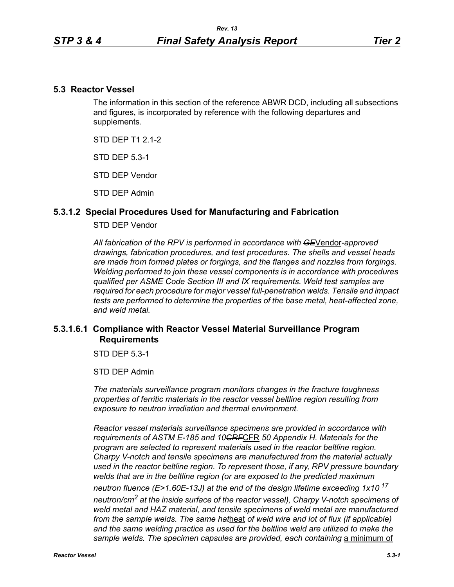### **5.3 Reactor Vessel**

The information in this section of the reference ABWR DCD, including all subsections and figures, is incorporated by reference with the following departures and supplements.

STD DFP T1 2 1-2

STD DEP 5.3-1

STD DEP Vendor

STD DEP Admin

### **5.3.1.2 Special Procedures Used for Manufacturing and Fabrication**

#### STD DEP Vendor

*All fabrication of the RPV is performed in accordance with GE*Vendor*-approved drawings, fabrication procedures, and test procedures. The shells and vessel heads are made from formed plates or forgings, and the flanges and nozzles from forgings. Welding performed to join these vessel components is in accordance with procedures qualified per ASME Code Section III and IX requirements. Weld test samples are required for each procedure for major vessel full-penetration welds. Tensile and impact tests are performed to determine the properties of the base metal, heat-affected zone, and weld metal.*

# **5.3.1.6.1 Compliance with Reactor Vessel Material Surveillance Program Requirements**

STD DEP 5.3-1

STD DEP Admin

*The materials surveillance program monitors changes in the fracture toughness properties of ferritic materials in the reactor vessel beltline region resulting from exposure to neutron irradiation and thermal environment.* 

*Reactor vessel materials surveillance specimens are provided in accordance with requirements of ASTM E-185 and 10CRF*CFR *50 Appendix H. Materials for the program are selected to represent materials used in the reactor beltline region. Charpy V-notch and tensile specimens are manufactured from the material actually used in the reactor beltline region. To represent those, if any, RPV pressure boundary welds that are in the beltline region (or are exposed to the predicted maximum neutron fluence (E>1.60E-13J) at the end of the design lifetime exceeding 1x10<sup>17</sup> neutron/cm2 at the inside surface of the reactor vessel), Charpy V-notch specimens of weld metal and HAZ material, and tensile specimens of weld metal are manufactured from the sample welds. The same hat*heat *of weld wire and lot of flux (if applicable)*  and the same welding practice as used for the beltline weld are utilized to make the sample welds. The specimen capsules are provided, each containing a minimum of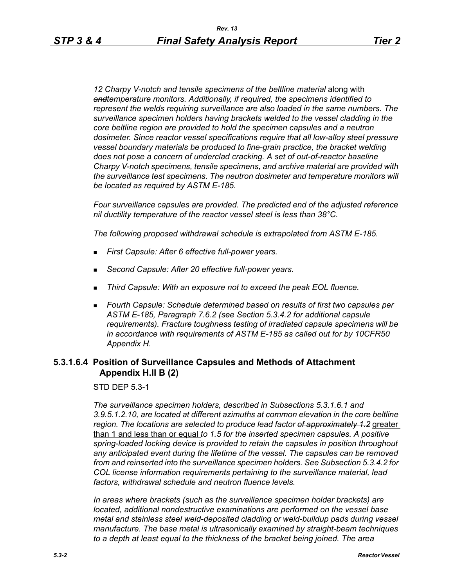12 Charpy V-notch and tensile specimens of the beltline material **along with** *andtemperature monitors. Additionally, if required, the specimens identified to represent the welds requiring surveillance are also loaded in the same numbers. The surveillance specimen holders having brackets welded to the vessel cladding in the core beltline region are provided to hold the specimen capsules and a neutron dosimeter. Since reactor vessel specifications require that all low-alloy steel pressure vessel boundary materials be produced to fine-grain practice, the bracket welding does not pose a concern of underclad cracking. A set of out-of-reactor baseline Charpy V-notch specimens, tensile specimens, and archive material are provided with the surveillance test specimens. The neutron dosimeter and temperature monitors will be located as required by ASTM E-185.*

*Four surveillance capsules are provided. The predicted end of the adjusted reference nil ductility temperature of the reactor vessel steel is less than 38°C.*

*The following proposed withdrawal schedule is extrapolated from ASTM E-185.*

- *First Capsule: After 6 effective full-power years.*
- *Second Capsule: After 20 effective full-power years.*
- *Third Capsule: With an exposure not to exceed the peak EOL fluence.*
- *Fourth Capsule: Schedule determined based on results of first two capsules per ASTM E-185, Paragraph 7.6.2 (see Section 5.3.4.2 for additional capsule requirements). Fracture toughness testing of irradiated capsule specimens will be in accordance with requirements of ASTM E-185 as called out for by 10CFR50 Appendix H.*

### **5.3.1.6.4 Position of Surveillance Capsules and Methods of Attachment Appendix H.II B (2)**

STD DEP 5.3-1

*The surveillance specimen holders, described in Subsections 5.3.1.6.1 and 3.9.5.1.2.10, are located at different azimuths at common elevation in the core beltline region. The locations are selected to produce lead factor of approximately 1.2* greater than 1 and less than or equal *to 1.5 for the inserted specimen capsules. A positive spring-loaded locking device is provided to retain the capsules in position throughout any anticipated event during the lifetime of the vessel. The capsules can be removed from and reinserted into the surveillance specimen holders. See Subsection 5.3.4.2 for COL license information requirements pertaining to the surveillance material, lead factors, withdrawal schedule and neutron fluence levels.*

*In areas where brackets (such as the surveillance specimen holder brackets) are located, additional nondestructive examinations are performed on the vessel base metal and stainless steel weld-deposited cladding or weld-buildup pads during vessel manufacture. The base metal is ultrasonically examined by straight-beam techniques to a depth at least equal to the thickness of the bracket being joined. The area*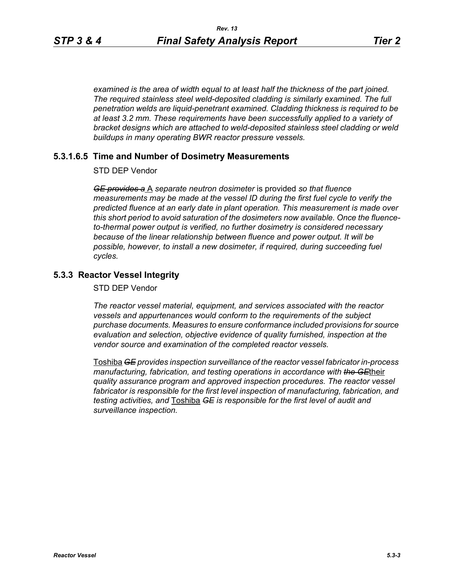*examined is the area of width equal to at least half the thickness of the part joined. The required stainless steel weld-deposited cladding is similarly examined. The full penetration welds are liquid-penetrant examined. Cladding thickness is required to be at least 3.2 mm. These requirements have been successfully applied to a variety of bracket designs which are attached to weld-deposited stainless steel cladding or weld buildups in many operating BWR reactor pressure vessels.*

#### **5.3.1.6.5 Time and Number of Dosimetry Measurements**

STD DEP Vendor

*GE provides a* A *separate neutron dosimeter* is provided *so that fluence measurements may be made at the vessel ID during the first fuel cycle to verify the predicted fluence at an early date in plant operation. This measurement is made over this short period to avoid saturation of the dosimeters now available. Once the fluenceto-thermal power output is verified, no further dosimetry is considered necessary because of the linear relationship between fluence and power output. It will be possible, however, to install a new dosimeter, if required, during succeeding fuel cycles.*

## **5.3.3 Reactor Vessel Integrity**

STD DEP Vendor

*The reactor vessel material, equipment, and services associated with the reactor vessels and appurtenances would conform to the requirements of the subject purchase documents. Measures to ensure conformance included provisions for source evaluation and selection, objective evidence of quality furnished, inspection at the vendor source and examination of the completed reactor vessels.*

Toshiba *GE provides inspection surveillance of the reactor vessel fabricator in-process manufacturing, fabrication, and testing operations in accordance with the GE*their *quality assurance program and approved inspection procedures. The reactor vessel fabricator is responsible for the first level inspection of manufacturing, fabrication, and testing activities, and* Toshiba *GE is responsible for the first level of audit and surveillance inspection.*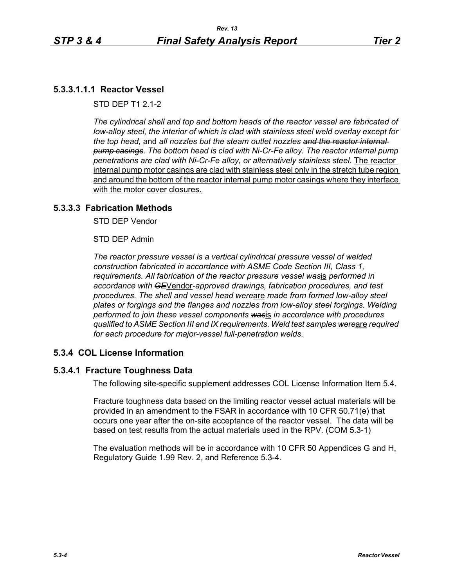## **5.3.3.1.1.1 Reactor Vessel**

STD DEP T1 2.1-2

*The cylindrical shell and top and bottom heads of the reactor vessel are fabricated of low-alloy steel, the interior of which is clad with stainless steel weld overlay except for the top head,* and *all nozzles but the steam outlet nozzles and the reactor internal pump casings. The bottom head is clad with Ni-Cr-Fe alloy. The reactor internal pump penetrations are clad with Ni-Cr-Fe alloy, or alternatively stainless steel.* The reactor internal pump motor casings are clad with stainless steel only in the stretch tube region and around the bottom of the reactor internal pump motor casings where they interface with the motor cover closures.

### **5.3.3.3 Fabrication Methods**

STD DEP Vendor

STD DEP Admin

*The reactor pressure vessel is a vertical cylindrical pressure vessel of welded construction fabricated in accordance with ASME Code Section III, Class 1, requirements. All fabrication of the reactor pressure vessel was*is *performed in accordance with GE*Vendor*-approved drawings, fabrication procedures, and test procedures. The shell and vessel head were*are *made from formed low-alloy steel plates or forgings and the flanges and nozzles from low-alloy steel forgings. Welding performed to join these vessel components was*is *in accordance with procedures qualified to ASME Section III and IX requirements. Weld test samples were*are *required for each procedure for major-vessel full-penetration welds.*

### **5.3.4 COL License Information**

### **5.3.4.1 Fracture Toughness Data**

The following site-specific supplement addresses COL License Information Item 5.4.

Fracture toughness data based on the limiting reactor vessel actual materials will be provided in an amendment to the FSAR in accordance with 10 CFR 50.71(e) that occurs one year after the on-site acceptance of the reactor vessel. The data will be based on test results from the actual materials used in the RPV. (COM 5.3-1)

The evaluation methods will be in accordance with 10 CFR 50 Appendices G and H, Regulatory Guide 1.99 Rev. 2, and Reference 5.3-4.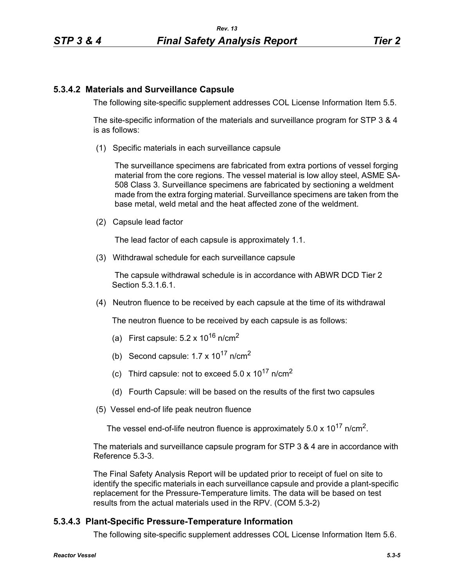## **5.3.4.2 Materials and Surveillance Capsule**

The following site-specific supplement addresses COL License Information Item 5.5.

The site-specific information of the materials and surveillance program for STP 3 & 4 is as follows:

(1) Specific materials in each surveillance capsule

The surveillance specimens are fabricated from extra portions of vessel forging material from the core regions. The vessel material is low alloy steel, ASME SA-508 Class 3. Surveillance specimens are fabricated by sectioning a weldment made from the extra forging material. Surveillance specimens are taken from the base metal, weld metal and the heat affected zone of the weldment.

(2) Capsule lead factor

The lead factor of each capsule is approximately 1.1.

(3) Withdrawal schedule for each surveillance capsule

The capsule withdrawal schedule is in accordance with ABWR DCD Tier 2 Section 5.3.1.6.1.

(4) Neutron fluence to be received by each capsule at the time of its withdrawal

The neutron fluence to be received by each capsule is as follows:

- (a) First capsule:  $5.2 \times 10^{16}$  n/cm<sup>2</sup>
- (b) Second capsule:  $1.7 \times 10^{17}$  n/cm<sup>2</sup>
- (c) Third capsule: not to exceed  $5.0 \times 10^{17}$  n/cm<sup>2</sup>
- (d) Fourth Capsule: will be based on the results of the first two capsules
- (5) Vessel end-of life peak neutron fluence

The vessel end-of-life neutron fluence is approximately  $5.0 \times 10^{17}$  n/cm<sup>2</sup>.

The materials and surveillance capsule program for STP 3 & 4 are in accordance with Reference 5.3-3.

The Final Safety Analysis Report will be updated prior to receipt of fuel on site to identify the specific materials in each surveillance capsule and provide a plant-specific replacement for the Pressure-Temperature limits. The data will be based on test results from the actual materials used in the RPV. (COM 5.3-2)

# **5.3.4.3 Plant-Specific Pressure-Temperature Information**

The following site-specific supplement addresses COL License Information Item 5.6.